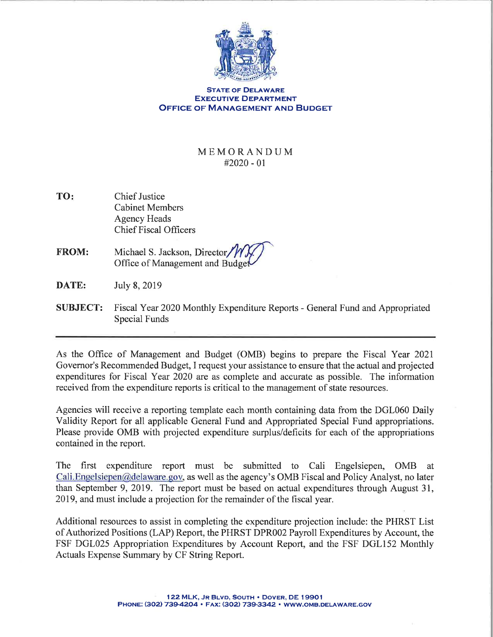

## STATE OF DELAWARE **EXECUTIVE DEPARTMENT OFFICE OF MANAGEMENT AND BUDGET**

## MEMORANDUM #2020 - 0r

- TO: Chief Justice Cabinet Members Agency Heads Chief Fiscal Officers
- FROM: Michael S. Jackson, Director Office of Management and Budget
- **DATE:** July 8, 2019
- SUBJECT: Fiscal Year 2020 Monthly Expenditure Reports General Fund and Appropriated Special Funds

As the Office of Management and Budget (OMB) begins to prepare the Fiscal Year 2021 Governor's Recommended Budget, I request your assistance to ensure that the actual and projected expenditures for Fiscal Year 2020 are as complete and accurate as possible. The information received from the expenditure reports is critical to the management of state resources.

Agencies will receive a reporting template each month containing data from the DGL060 Daily Validity Report for all applicable General Fund and Appropriated Special Fund appropriations. Please provide OMB with projected expenditure surplus/deficits for each of the appropriations contained in the report.

The first expenditure report must be submitted to Cali Engelsiepen, OMB at Cali.Engelsiepen@delaware.gov, as well as the agency's OMB Fiscal and Policy Analyst, no later than September 9,2019. The report must be based on actual expenditures through August 31, 2019, and must include a projection for the remainder of the fiscal year.

Additional resources to assist in completing the expenditure projection include: the PHRST List of Authorized Positions (LAP) Report, the PHRST DPR002 Payroll Expenditures by Account, the FSF DGL025 Appropriation Expenditures by Account Report, and the FSF DGL152 Monthly Actuals Expense Summary by CF String Report.